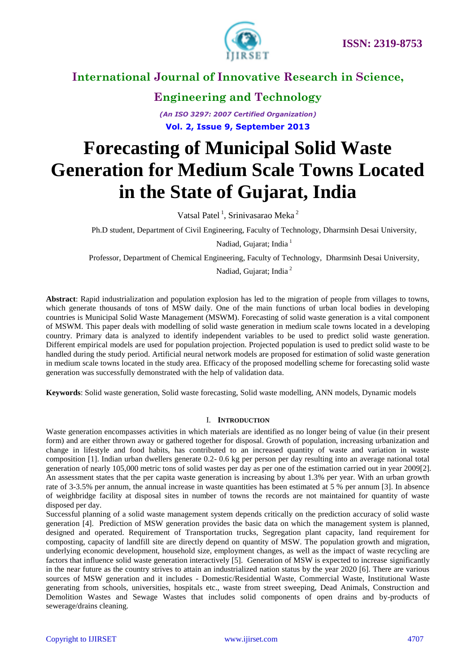

### **Engineering and Technology**

*(An ISO 3297: 2007 Certified Organization)* **Vol. 2, Issue 9, September 2013**

# **Forecasting of Municipal Solid Waste Generation for Medium Scale Towns Located in the State of Gujarat, India**

Vatsal Patel<sup>1</sup>, Srinivasarao Meka<sup>2</sup>

Ph.D student, Department of Civil Engineering, Faculty of Technology, Dharmsinh Desai University*,* 

Nadiad, Gujarat; India<sup>1</sup>

Professor, Department of Chemical Engineering, Faculty of Technology, Dharmsinh Desai University*,* 

Nadiad, Gujarat; India <sup>2</sup>

**Abstract**: Rapid industrialization and population explosion has led to the migration of people from villages to towns, which generate thousands of tons of MSW daily. One of the main functions of urban local bodies in developing countries is Municipal Solid Waste Management (MSWM). Forecasting of solid waste generation is a vital component of MSWM. This paper deals with modelling of solid waste generation in medium scale towns located in a developing country. Primary data is analyzed to identify independent variables to be used to predict solid waste generation. Different empirical models are used for population projection. Projected population is used to predict solid waste to be handled during the study period. Artificial neural network models are proposed for estimation of solid waste generation in medium scale towns located in the study area. Efficacy of the proposed modelling scheme for forecasting solid waste generation was successfully demonstrated with the help of validation data.

**Keywords**: Solid waste generation, Solid waste forecasting, Solid waste modelling, ANN models, Dynamic models

#### I. **INTRODUCTION**

Waste generation encompasses activities in which materials are identified as no longer being of value (in their present form) and are either thrown away or gathered together for disposal. Growth of population, increasing urbanization and change in lifestyle and food habits, has contributed to an increased quantity of waste and variation in waste composition [1]. Indian urban dwellers generate 0.2- 0.6 kg per person per day resulting into an average national total generation of nearly 105,000 metric tons of solid wastes per day as per one of the estimation carried out in year 2009[2]. An assessment states that the per capita waste generation is increasing by about 1.3% per year. With an urban growth rate of 3-3.5% per annum, the annual increase in waste quantities has been estimated at 5 % per annum [3]. In absence of weighbridge facility at disposal sites in number of towns the records are not maintained for quantity of waste disposed per day.

Successful planning of a solid waste management system depends critically on the prediction accuracy of solid waste generation [4]. Prediction of MSW generation provides the basic data on which the management system is planned, designed and operated. Requirement of Transportation trucks, Segregation plant capacity, land requirement for composting, capacity of landfill site are directly depend on quantity of MSW. The population growth and migration, underlying economic development, household size, employment changes, as well as the impact of waste recycling are factors that influence solid waste generation interactively [5]. Generation of MSW is expected to increase significantly in the near future as the country strives to attain an industrialized nation status by the year 2020 [6]. There are various sources of MSW generation and it includes - Domestic/Residential Waste, Commercial Waste, Institutional Waste generating from schools, universities, hospitals etc., waste from street sweeping, Dead Animals, Construction and Demolition Wastes and Sewage Wastes that includes solid components of open drains and by-products of sewerage/drains cleaning.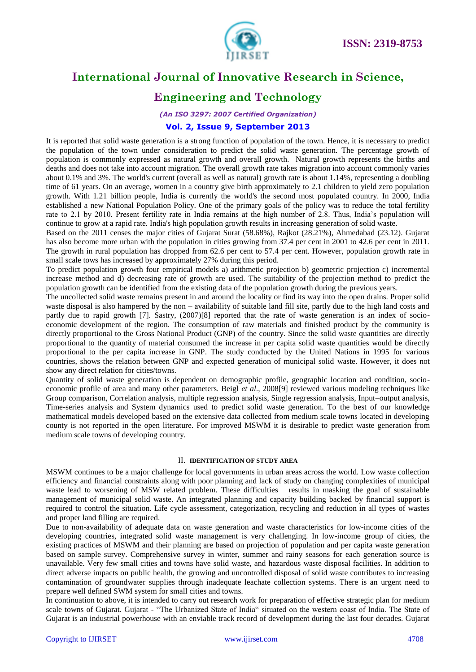

### **Engineering and Technology**

*(An ISO 3297: 2007 Certified Organization)*

### **Vol. 2, Issue 9, September 2013**

It is reported that solid waste generation is a strong function of population of the town. Hence, it is necessary to predict the population of the town under consideration to predict the solid waste generation. The percentage growth of population is commonly expressed as natural growth and overall growth. Natural growth represents the births and deaths and does not take into account migration. The overall growth rate takes migration into account commonly varies about 0.1% and 3%. The world's current (overall as well as natural) growth rate is about 1.14%, representing a doubling time of 61 years. On an average, women in a country give birth approximately to 2.1 children to yield zero population growth. With 1.21 billion people, India is currently the world's the second most populated country. In 2000, India established a new National Population Policy. One of the primary goals of the policy was to reduce the total fertility rate to 2.1 by 2010. Present fertility rate in India remains at the high number of 2.8. Thus, India's population will continue to grow at a rapid rate. India's high population growth results in increasing generation of solid waste.

Based on the 2011 censes the major cities of Gujarat Surat (58.68%), Rajkot (28.21%), Ahmedabad (23.12). Gujarat has also become more urban with the population in cities growing from 37.4 per cent in 2001 to 42.6 per cent in 2011. The growth in rural population has dropped from 62.6 per cent to 57.4 per cent. However, population growth rate in small scale tows has increased by approximately 27% during this period.

To predict population growth four empirical models a) arithmetic projection b) geometric projection c) incremental increase method and d) decreasing rate of growth are used. The suitability of the projection method to predict the population growth can be identified from the existing data of the population growth during the previous years.

The uncollected solid waste remains present in and around the locality or find its way into the open drains. Proper solid waste disposal is also hampered by the non – availability of suitable land fill site, partly due to the high land costs and partly due to rapid growth [7]. Sastry, (2007)[8] reported that the rate of waste generation is an index of socioeconomic development of the region. The consumption of raw materials and finished product by the community is directly proportional to the Gross National Product (GNP) of the country. Since the solid waste quantities are directly proportional to the quantity of material consumed the increase in per capita solid waste quantities would be directly proportional to the per capita increase in GNP. The study conducted by the United Nations in 1995 for various countries, shows the relation between GNP and expected generation of municipal solid waste. However, it does not show any direct relation for cities/towns.

Quantity of solid waste generation is dependent on demographic profile, geographic location and condition, socioeconomic profile of area and many other parameters. Beigl *et al*., 2008[9] reviewed various modeling techniques like Group comparison, Correlation analysis, multiple regression analysis, Single regression analysis, Input–output analysis, Time-series analysis and System dynamics used to predict solid waste generation. To the best of our knowledge mathematical models developed based on the extensive data collected from medium scale towns located in developing county is not reported in the open literature. For improved MSWM it is desirable to predict waste generation from medium scale towns of developing country.

#### II. **IDENTIFICATION OF STUDY AREA**

MSWM continues to be a major challenge for local governments in urban areas across the world. Low waste collection efficiency and financial constraints along with poor planning and lack of study on changing complexities of municipal waste lead to worsening of MSW related problem. These difficulties results in masking the goal of sustainable management of municipal solid waste. An integrated planning and capacity building backed by financial support is required to control the situation. Life cycle assessment, categorization, recycling and reduction in all types of wastes and proper land filling are required.

Due to non-availability of adequate data on waste generation and waste characteristics for low-income cities of the developing countries, integrated solid waste management is very challenging. In low-income group of cities, the existing practices of MSWM and their planning are based on projection of population and per capita waste generation based on sample survey. Comprehensive survey in winter, summer and rainy seasons for each generation source is unavailable. Very few small cities and towns have solid waste, and hazardous waste disposal facilities. In addition to direct adverse impacts on public health, the growing and uncontrolled disposal of solid waste contributes to increasing contamination of groundwater supplies through inadequate leachate collection systems. There is an urgent need to prepare well defined SWM system for small cities and towns.

In continuation to above, it is intended to carry out research work for preparation of effective strategic plan for medium scale towns of Gujarat. Gujarat - "The Urbanized State of India" situated on the western coast of India. The State of Gujarat is an industrial powerhouse with an enviable track record of development during the last four decades. Gujarat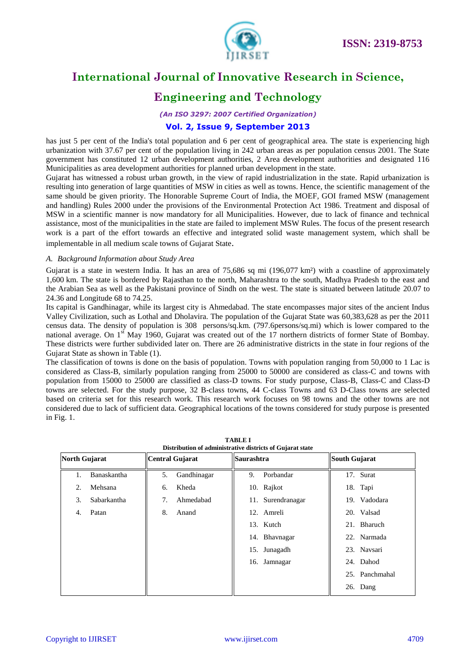

### **Engineering and Technology**

*(An ISO 3297: 2007 Certified Organization)*

### **Vol. 2, Issue 9, September 2013**

has just 5 per cent of the India's total population and 6 per cent of geographical area. The state is experiencing high urbanization with 37.67 per cent of the population living in 242 urban areas as per population census 2001. The State government has constituted 12 urban development authorities, 2 Area development authorities and designated 116 Municipalities as area development authorities for planned urban development in the state.

Gujarat has witnessed a robust urban growth, in the view of rapid industrialization in the state. Rapid urbanization is resulting into generation of large quantities of MSW in cities as well as towns. Hence, the scientific management of the same should be given priority. The Honorable Supreme Court of India, the MOEF, GOI framed MSW (management and handling) Rules 2000 under the provisions of the Environmental Protection Act 1986. Treatment and disposal of MSW in a scientific manner is now mandatory for all Municipalities. However, due to lack of finance and technical assistance, most of the municipalities in the state are failed to implement MSW Rules. The focus of the present research work is a part of the effort towards an effective and integrated solid waste management system, which shall be implementable in all medium scale towns of Gujarat State.

#### *A. Background Information about Study Area*

Gujarat is a state in western India. It has an area of  $75,686$  sq mi  $(196,077 \text{ km}^2)$  with a coastline of approximately 1,600 km. The state is bordered by Rajasthan to the north, Maharashtra to the south, Madhya Pradesh to the east and the Arabian Sea as well as the Pakistani province of Sindh on the west. The state is situated between latitude 20.07 to 24.36 and Longitude 68 to 74.25.

Its capital is Gandhinagar, while its largest city is Ahmedabad. The state encompasses major sites of the ancient Indus Valley Civilization, such as Lothal and Dholavira. The population of the Gujarat State was 60,383,628 as per the 2011 census data. The density of population is 308 persons/sq.km. (797.6persons/sq.mi) which is lower compared to the national average. On  $1<sup>st</sup>$  May 1960, Gujarat was created out of the 17 northern districts of former State of Bombay. These districts were further subdivided later on. There are 26 administrative districts in the state in four regions of the Gujarat State as shown in Table (1).

The classification of towns is done on the basis of population. Towns with population ranging from 50,000 to 1 Lac is considered as Class-B, similarly population ranging from 25000 to 50000 are considered as class-C and towns with population from 15000 to 25000 are classified as class-D towns. For study purpose, Class-B, Class-C and Class-D towns are selected. For the study purpose, 32 B-class towns, 44 C-class Towns and 63 D-Class towns are selected based on criteria set for this research work. This research work focuses on 98 towns and the other towns are not considered due to lack of sufficient data. Geographical locations of the towns considered for study purpose is presented in Fig. 1.

| North Gujarat |             | <b>Central Gujarat</b> |             | <b>Saurashtra</b> |                   | South Gujarat |                |
|---------------|-------------|------------------------|-------------|-------------------|-------------------|---------------|----------------|
| 1.            | Banaskantha | 5.                     | Gandhinagar | 9.                | Porbandar         |               | 17. Surat      |
| 2.            | Mehsana     | 6.                     | Kheda       |                   | 10. Rajkot        |               | 18. Tapi       |
| 3.            | Sabarkantha | 7.                     | Ahmedabad   |                   | 11. Surendranagar |               | 19. Vadodara   |
| 4.            | Patan       | 8.                     | Anand       |                   | 12. Amreli        |               | 20. Valsad     |
|               |             |                        |             |                   | 13. Kutch         |               | 21. Bharuch    |
|               |             |                        |             |                   | 14. Bhavnagar     |               | 22. Narmada    |
|               |             |                        |             |                   | 15. Junagadh      |               | 23. Navsari    |
|               |             |                        |             |                   | 16. Jamnagar      |               | 24. Dahod      |
|               |             |                        |             |                   |                   |               | 25. Panchmahal |
|               |             |                        |             |                   |                   |               | 26. Dang       |

**TABLE I Distribution of administrative districts of Gujarat state**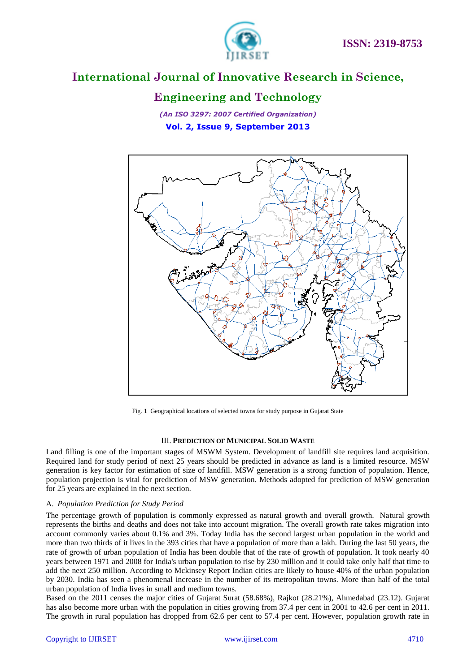

### **Engineering and Technology**

*(An ISO 3297: 2007 Certified Organization)* **Vol. 2, Issue 9, September 2013**



Fig. 1 Geographical locations of selected towns for study purpose in Gujarat State

#### III. **PREDICTION OF MUNICIPAL SOLID WASTE**

Land filling is one of the important stages of MSWM System. Development of landfill site requires land acquisition. Required land for study period of next 25 years should be predicted in advance as land is a limited resource. MSW generation is key factor for estimation of size of landfill. MSW generation is a strong function of population. Hence, population projection is vital for prediction of MSW generation. Methods adopted for prediction of MSW generation for 25 years are explained in the next section.

#### A. *Population Prediction for Study Period*

The percentage growth of population is commonly expressed as natural growth and overall growth. Natural growth represents the births and deaths and does not take into account migration. The overall growth rate takes migration into account commonly varies about 0.1% and 3%. Today India has the second largest urban population in the world and more than two thirds of it lives in the 393 cities that have a population of more than a lakh. During the last 50 years, the rate of growth of urban population of India has been double that of the rate of growth of population. It took nearly 40 years between 1971 and 2008 for India's urban population to rise by 230 million and it could take only half that time to add the next 250 million. According to Mckinsey Report Indian cities are likely to house 40% of the urban population by 2030. India has seen a phenomenal increase in the number of its metropolitan towns. More than half of the total urban population of India lives in small and medium towns.

Based on the 2011 censes the major cities of Gujarat Surat (58.68%), Rajkot (28.21%), Ahmedabad (23.12). Gujarat has also become more urban with the population in cities growing from 37.4 per cent in 2001 to 42.6 per cent in 2011. The growth in rural population has dropped from 62.6 per cent to 57.4 per cent. However, population growth rate in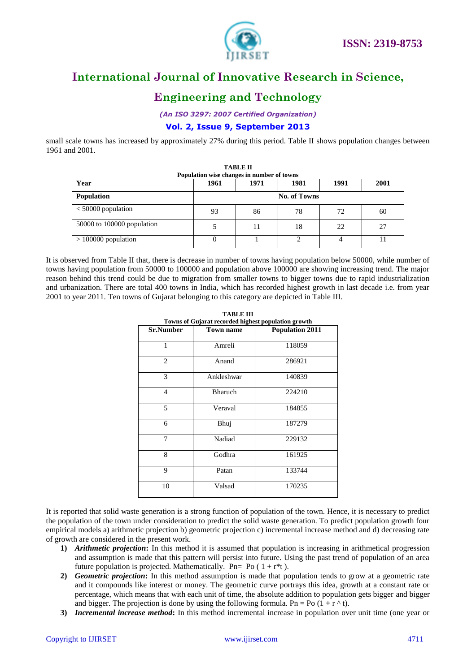

### **Engineering and Technology**

*(An ISO 3297: 2007 Certified Organization)*

### **Vol. 2, Issue 9, September 2013**

small scale towns has increased by approximately 27% during this period. Table II shows population changes between 1961 and 2001.

| <b>TABLE II</b><br>Population wise changes in number of towns |      |              |      |      |      |  |  |  |
|---------------------------------------------------------------|------|--------------|------|------|------|--|--|--|
| Year                                                          | 1961 | 1971         | 1981 | 1991 | 2001 |  |  |  |
| <b>Population</b>                                             |      | No. of Towns |      |      |      |  |  |  |
| $<$ 50000 population                                          | 93   | 86           | 78   | 72   | 60   |  |  |  |
| $50000$ to 100000 population                                  |      | 11           | 18   | 22   | 27   |  |  |  |
| $>100000$ population                                          | 0    |              | ◠    | 4    | 11   |  |  |  |

It is observed from Table II that, there is decrease in number of towns having population below 50000, while number of towns having population from 50000 to 100000 and population above 100000 are showing increasing trend. The major reason behind this trend could be due to migration from smaller towns to bigger towns due to rapid industrialization and urbanization. There are total 400 towns in India, which has recorded highest growth in last decade i.e. from year 2001 to year 2011. Ten towns of Gujarat belonging to this category are depicted in Table III.

| <b>Sr.Number</b> | <b>Town name</b> | Towns of Gujarat recorded highest population growth<br><b>Population 2011</b> |  |  |
|------------------|------------------|-------------------------------------------------------------------------------|--|--|
|                  |                  |                                                                               |  |  |
| 1                | Amreli           | 118059                                                                        |  |  |
| 2                | Anand            | 286921                                                                        |  |  |
| 3                | Ankleshwar       | 140839                                                                        |  |  |
| $\overline{4}$   | <b>Bharuch</b>   | 224210                                                                        |  |  |
| 5                | Veraval          | 184855                                                                        |  |  |
| 6                | Bhuj             | 187279                                                                        |  |  |
| 7                | Nadiad           | 229132                                                                        |  |  |
| 8                | Godhra           | 161925                                                                        |  |  |
| 9                | Patan            | 133744                                                                        |  |  |
| Valsad<br>10     |                  | 170235                                                                        |  |  |

**TABLE III Towns of Gujarat recorded highest population growth**

It is reported that solid waste generation is a strong function of population of the town. Hence, it is necessary to predict the population of the town under consideration to predict the solid waste generation. To predict population growth four empirical models a) arithmetic projection b) geometric projection c) incremental increase method and d) decreasing rate of growth are considered in the present work.

- **1)** *Arithmetic projection***:** In this method it is assumed that population is increasing in arithmetical progression and assumption is made that this pattern will persist into future. Using the past trend of population of an area future population is projected. Mathematically. Pn= Po  $(1 + r^*t)$ .
- **2)** *Geometric projection***:** In this method assumption is made that population tends to grow at a geometric rate and it compounds like interest or money. The geometric curve portrays this idea, growth at a constant rate or percentage, which means that with each unit of time, the absolute addition to population gets bigger and bigger and bigger. The projection is done by using the following formula. Pn = Po  $(1 + r^{\wedge} t)$ .
- **3)** *Incremental increase method***:** In this method incremental increase in population over unit time (one year or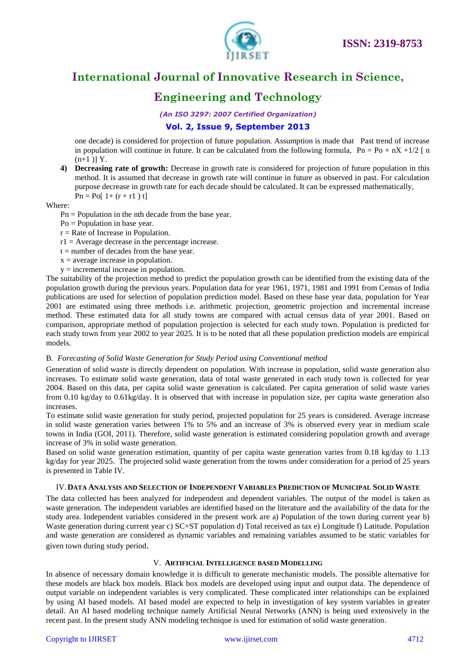

# **Engineering and Technology**

*(An ISO 3297: 2007 Certified Organization)*

### **Vol. 2, Issue 9, September 2013**

one decade) is considered for projection of future population. Assumption is made that Past trend of increase in population will continue in future. It can be calculated from the following formula,  $Pn = Po + nX + 1/2$  [n  $(n+1)$ ] Y.

**4) Decreasing rate of growth:** Decrease in growth rate is considered for projection of future population in this method. It is assumed that decrease in growth rate will continue in future as observed in past. For calculation purpose decrease in growth rate for each decade should be calculated. It can be expressed mathematically,  $Pn = Po[1+(r + r1) t]$ 

#### Where:

 $Pn = Population in the nth decade from the base year.$ 

- Po = Population in base year.
- $r =$ Rate of Increase in Population.
- $r1 =$  Average decrease in the percentage increase.
- $t =$  number of decades from the base year.
- $x =$  average increase in population.
- y = incremental increase in population.

The suitability of the projection method to predict the population growth can be identified from the existing data of the population growth during the previous years. Population data for year 1961, 1971, 1981 and 1991 from Census of India publications are used for selection of population prediction model. Based on these base year data, population for Year 2001 are estimated using three methods i.e. arithmetic projection, geometric projection and incremental increase method. These estimated data for all study towns are compared with actual census data of year 2001. Based on comparison, appropriate method of population projection is selected for each study town. Population is predicted for each study town from year 2002 to year 2025. It is to be noted that all these population prediction models are empirical models.

#### B. *Forecasting of Solid Waste Generation for Study Period using Conventional method*

Generation of solid waste is directly dependent on population. With increase in population, solid waste generation also increases. To estimate solid waste generation, data of total waste generated in each study town is collected for year 2004. Based on this data, per capita solid waste generation is calculated. Per capita generation of solid waste varies from 0.10 kg/day to 0.61kg/day. It is observed that with increase in population size, per capita waste generation also increases.

To estimate solid waste generation for study period, projected population for 25 years is considered. Average increase in solid waste generation varies between 1% to 5% and an increase of 3% is observed every year in medium scale towns in India (GOI, 2011). Therefore, solid waste generation is estimated considering population growth and average increase of 3% in solid waste generation.

Based on solid waste generation estimation, quantity of per capita waste generation varies from 0.18 kg/day to 1.13 kg/day for year 2025. The projected solid waste generation from the towns under consideration for a period of 25 years is presented in Table IV.

#### IV.**DATA ANALYSIS AND SELECTION OF INDEPENDENT VARIABLES PREDICTION OF MUNICIPAL SOLID WASTE**

The data collected has been analyzed for independent and dependent variables. The output of the model is taken as waste generation. The independent variables are identified based on the literature and the availability of the data for the study area. Independent variables considered in the present work are a) Population of the town during current year b) Waste generation during current year c)  $SC+ST$  population d) Total received as tax e) Longitude f) Latitude. Population and waste generation are considered as dynamic variables and remaining variables assumed to be static variables for given town during study period.

#### V. **ARTIFICIAL INTELLIGENCE BASED MODELLING**

In absence of necessary domain knowledge it is difficult to generate mechanistic models. The possible alternative for these models are black box models. Black box models are developed using input and output data. The dependence of output variable on independent variables is very complicated. These complicated inter relationships can be explained by using AI based models. AI based model are expected to help in investigation of key system variables in greater detail. An AI based modeling technique namely Artificial Neural Networks (ANN) is being used extensively in the recent past. In the present study ANN modeling technique is used for estimation of solid waste generation.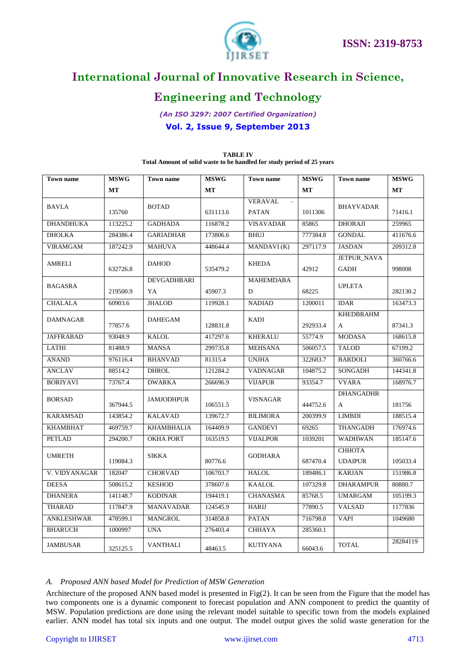

# **Engineering and Technology**

*(An ISO 3297: 2007 Certified Organization)* **Vol. 2, Issue 9, September 2013**

| <b>Town name</b>  | <b>MSWG</b><br><b>Town</b> name |                   | <b>MSWG</b><br><b>Town name</b> |                            | <b>MSWG</b> | <b>Town name</b> | <b>MSWG</b> |
|-------------------|---------------------------------|-------------------|---------------------------------|----------------------------|-------------|------------------|-------------|
|                   | МT                              |                   | MT                              |                            | MT          |                  | MT          |
| <b>BAVLA</b>      | 135760                          | <b>BOTAD</b>      |                                 | <b>VERAVAL</b><br>$\equiv$ | 1011306     | <b>BHAYVADAR</b> |             |
|                   |                                 |                   | 631113.6                        | <b>PATAN</b>               |             |                  | 71416.1     |
| <b>DHANDHUKA</b>  | 113225.2                        | <b>GADHADA</b>    | 116878.2                        | <b>VISAVADAR</b>           | 85865       | <b>DHORAJI</b>   | 259965      |
| <b>DHOLKA</b>     | 284386.4                        | <b>GARIADHAR</b>  | 173806.6                        | <b>BHUJ</b>                | 777384.8    | <b>GONDAL</b>    | 411676.6    |
| <b>VIRAMGAM</b>   | 187242.9                        | <b>MAHUVA</b>     | 448644.4                        | MANDAVI(K)                 | 297117.9    | <b>JASDAN</b>    | 209312.8    |
| AMRELI            | 632726.8                        | <b>DAHOD</b>      | 535479.2                        | <b>KHEDA</b>               | 42912       | JETPUR_NAVA      |             |
|                   |                                 |                   |                                 |                            |             | <b>GADH</b>      | 998008      |
| <b>BAGASRA</b>    | 219500.9                        | DEVGADHBARI       |                                 | <b>MAHEMDABA</b>           | 68225       | <b>UPLETA</b>    |             |
|                   |                                 | YA                | 45907.3                         | D                          |             |                  | 282130.2    |
| <b>CHALALA</b>    | 60903.6                         | <b>JHALOD</b>     | 119928.1                        | <b>NADIAD</b>              | 1200011     | <b>IDAR</b>      | 163473.3    |
| <b>DAMNAGAR</b>   |                                 | <b>DAHEGAM</b>    |                                 | <b>KADI</b>                |             | <b>KHEDBRAHM</b> |             |
|                   | 77857.6                         |                   | 128831.8                        |                            | 292933.4    | A                | 87341.3     |
| <b>JAFFRABAD</b>  | 93048.9                         | <b>KALOL</b>      | 417297.6                        | <b>KHERALU</b>             | 55774.9     | <b>MODASA</b>    | 168615.8    |
| <b>LATHI</b>      | 81488.9                         | <b>MANSA</b>      | 299735.8                        | <b>MEHSANA</b>             | 506057.5    | <b>TALOD</b>     | 67199.2     |
| <b>ANAND</b>      | 976116.4                        | <b>BHANVAD</b>    | 81315.4                         | <b>UNJHA</b>               | 322683.7    | <b>BARDOLI</b>   | 360766.6    |
| <b>ANCLAV</b>     | 88514.2                         | <b>DHROL</b>      | 121284.2                        | <b>VADNAGAR</b>            | 104875.2    | SONGADH          | 144341.8    |
| <b>BORIYAVI</b>   | 73767.4                         | <b>DWARKA</b>     | 266696.9                        | <b>VIJAPUR</b>             | 93354.7     | <b>VYARA</b>     | 168976.7    |
| <b>BORSAD</b>     | 367944.5                        | <b>JAMJODHPUR</b> | 106551.5                        | <b>VISNAGAR</b>            | 444752.6    | <b>DHANGADHR</b> |             |
|                   |                                 |                   |                                 |                            |             | A                | 181756      |
| <b>KARAMSAD</b>   | 143854.2                        | <b>KALAVAD</b>    | 139672.7                        | <b>BILIMORA</b>            | 200399.9    | <b>LIMBDI</b>    | 188515.4    |
| <b>KHAMBHAT</b>   | 469759.7                        | <b>KHAMBHALIA</b> | 164409.9                        | <b>GANDEVI</b>             | 69265       | <b>THANGADH</b>  | 176974.6    |
| <b>PETLAD</b>     | 294200.7                        | <b>OKHA PORT</b>  | 163519.5                        | <b>VIJALPOR</b>            | 1039201     | <b>WADHWAN</b>   | 185147.6    |
| <b>UMRETH</b>     |                                 | <b>SIKKA</b>      |                                 | <b>GODHARA</b>             |             | СННОТА           |             |
|                   | 119084.3                        |                   | 80776.6                         |                            | 687470.4    | <b>UDAIPUR</b>   | 105033.4    |
| V. VIDYANAGAR     | 182047                          | <b>CHORVAD</b>    | 106703.7                        | <b>HALOL</b>               | 189486.1    | <b>KARJAN</b>    | 151986.8    |
| <b>DEESA</b>      | 508615.2                        | <b>KESHOD</b>     | 378607.6                        | <b>KAALOL</b>              | 107329.8    | <b>DHARAMPUR</b> | 80880.7     |
| <b>DHANERA</b>    | 141148.7                        | <b>KODINAR</b>    | 194419.1                        | <b>CHANASMA</b>            | 85768.5     | <b>UMARGAM</b>   | 105199.3    |
| <b>THARAD</b>     | 117847.9                        | <b>MANAVADAR</b>  | 124545.9                        | <b>HARIJ</b>               | 77890.5     | <b>VALSAD</b>    | 1177836     |
| <b>ANKLESHWAR</b> | 478599.1                        | <b>MANGROL</b>    | 314858.8                        | <b>PATAN</b>               | 716798.8    | <b>VAPI</b>      | 1049680     |
| <b>BHARUCH</b>    | 1000997                         | <b>UNA</b>        | 276403.4                        | <b>CHHAYA</b>              | 285360.1    |                  |             |
| <b>JAMBUSAR</b>   | 325125.5                        | <b>VANTHALI</b>   | 48463.5                         | <b>KUTIYANA</b>            | 66043.6     | <b>TOTAL</b>     | 28284119    |

#### **TABLE IV Total Amount of solid waste to be handled for study period of 25 years**

#### *A. Proposed ANN based Model for Prediction of MSW Generation*

Architecture of the proposed ANN based model is presented in Fig(2). It can be seen from the Figure that the model has two components one is a dynamic component to forecast population and ANN component to predict the quantity of MSW. Population predictions are done using the relevant model suitable to specific town from the models explained earlier. ANN model has total six inputs and one output. The model output gives the solid waste generation for the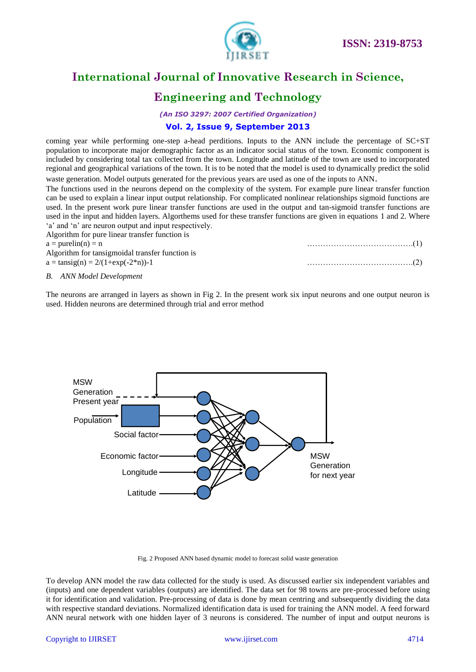

### **Engineering and Technology**

*(An ISO 3297: 2007 Certified Organization)*

### **Vol. 2, Issue 9, September 2013**

coming year while performing one-step a-head perditions. Inputs to the ANN include the percentage of SC+ST population to incorporate major demographic factor as an indicator social status of the town. Economic component is included by considering total tax collected from the town. Longitude and latitude of the town are used to incorporated regional and geographical variations of the town. It is to be noted that the model is used to dynamically predict the solid waste generation. Model outputs generated for the previous years are used as one of the inputs to ANN.

The functions used in the neurons depend on the complexity of the system. For example pure linear transfer function can be used to explain a linear input output relationship. For complicated nonlinear relationships sigmoid functions are used. In the present work pure linear transfer functions are used in the output and tan-sigmoid transfer functions are used in the input and hidden layers. Algorthems used for these transfer functions are given in equations 1 and 2. Where 'a' and 'n' are neuron output and input respectively. thm for pure linear tra

| Algorium for pure mear transfer function is                          |  |
|----------------------------------------------------------------------|--|
| $a = purelin(n) = n$                                                 |  |
| Algorithm for tansigmoidal transfer function is                      |  |
| $a = \tan\left(\frac{\pi}{2}\right) = \frac{2}{1 + \exp(-2\pi)} - 1$ |  |
|                                                                      |  |

#### *B. ANN Model Development*

The neurons are arranged in layers as shown in Fig 2. In the present work six input neurons and one output neuron is used. Hidden neurons are determined through trial and error method



Fig. 2 Proposed ANN based dynamic model to forecast solid waste generation

To develop ANN model the raw data collected for the study is used. As discussed earlier six independent variables and (inputs) and one dependent variables (outputs) are identified. The data set for 98 towns are pre-processed before using it for identification and validation. Pre-processing of data is done by mean centring and subsequently dividing the data with respective standard deviations. Normalized identification data is used for training the ANN model. A feed forward ANN neural network with one hidden layer of 3 neurons is considered. The number of input and output neurons is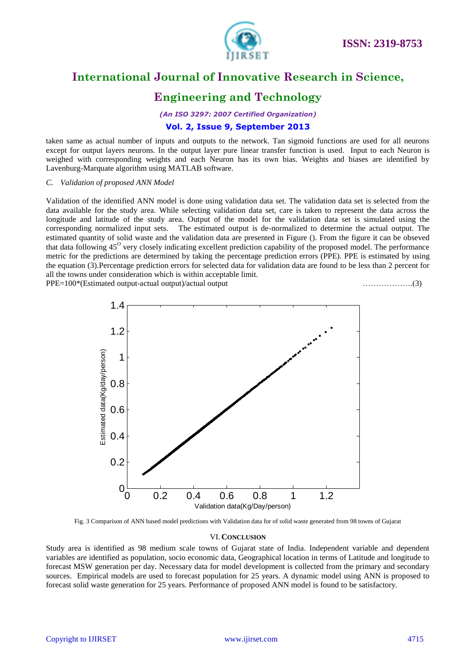

### **Engineering and Technology**

*(An ISO 3297: 2007 Certified Organization)*

### **Vol. 2, Issue 9, September 2013**

taken same as actual number of inputs and outputs to the network. Tan sigmoid functions are used for all neurons except for output layers neurons. In the output layer pure linear transfer function is used. Input to each Neuron is weighed with corresponding weights and each Neuron has its own bias. Weights and biases are identified by Lavenburg-Marquate algorithm using MATLAB software.

#### *C. Validation of proposed ANN Model*

Validation of the identified ANN model is done using validation data set. The validation data set is selected from the data available for the study area. While selecting validation data set, care is taken to represent the data across the longitude and latitude of the study area. Output of the model for the validation data set is simulated using the corresponding normalized input sets. The estimated output is de-normalized to determine the actual output. The estimated quantity of solid waste and the validation data are presented in Figure (). From the figure it can be obseved that data following  $45^{\circ}$  very closely indicating excellent prediction capability of the proposed model. The performance metric for the predictions are determined by taking the percentage prediction errors (PPE). PPE is estimated by using the equation (3).Percentage prediction errors for selected data for validation data are found to be less than 2 percent for all the towns under consideration which is within acceptable limit. PPE=100\*(Estimated output-actual output)/actual output ……………….(3)



Fig. 3 Comparison of ANN based model predictions with Validation data for of solid waste generated from 98 towns of Gujarat

#### VI.**CONCLUSION**

Study area is identified as 98 medium scale towns of Gujarat state of India. Independent variable and dependent variables are identified as population, socio economic data, Geographical location in terms of Latitude and longitude to forecast MSW generation per day. Necessary data for model development is collected from the primary and secondary sources. Empirical models are used to forecast population for 25 years. A dynamic model using ANN is proposed to forecast solid waste generation for 25 years. Performance of proposed ANN model is found to be satisfactory.